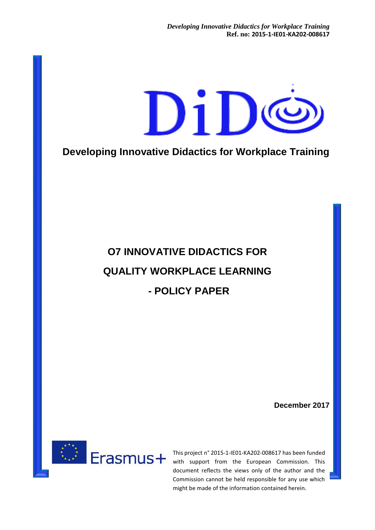

**Developing Innovative Didactics for Workplace Training**

# **O7 INNOVATIVE DIDACTICS FOR QUALITY WORKPLACE LEARNING - POLICY PAPER**

**December 2017**



This project n° 2015-1-IE01-KA202-008617 has been funded with support from the European Commission. This document reflects the views only of the author and the Commission cannot be held responsible for any use which might be made of the information contained herein.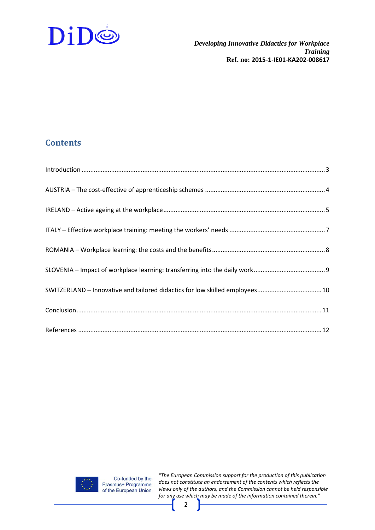

# **Contents**

| SWITZERLAND - Innovative and tailored didactics for low skilled employees 10 |
|------------------------------------------------------------------------------|
|                                                                              |
|                                                                              |
|                                                                              |
|                                                                              |

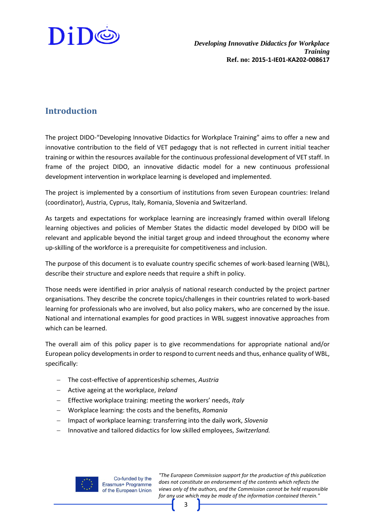

### <span id="page-2-0"></span>**Introduction**

The project DIDO-"Developing Innovative Didactics for Workplace Training" aims to offer a new and innovative contribution to the field of VET pedagogy that is not reflected in current initial teacher training or within the resources available for the continuous professional development of VET staff. In frame of the project DIDO, an innovative didactic model for a new continuous professional development intervention in workplace learning is developed and implemented.

The project is implemented by a consortium of institutions from seven European countries: Ireland (coordinator), Austria, Cyprus, Italy, Romania, Slovenia and Switzerland.

As targets and expectations for workplace learning are increasingly framed within overall lifelong learning objectives and policies of Member States the didactic model developed by DIDO will be relevant and applicable beyond the initial target group and indeed throughout the economy where up-skilling of the workforce is a prerequisite for competitiveness and inclusion.

The purpose of this document is to evaluate country specific schemes of work-based learning (WBL), describe their structure and explore needs that require a shift in policy.

Those needs were identified in prior analysis of national research conducted by the project partner organisations. They describe the concrete topics/challenges in their countries related to work-based learning for professionals who are involved, but also policy makers, who are concerned by the issue. National and international examples for good practices in WBL suggest innovative approaches from which can be learned.

The overall aim of this policy paper is to give recommendations for appropriate national and/or European policy developments in order to respond to current needs and thus, enhance quality of WBL, specifically:

- The cost-effective of apprenticeship schemes, *Austria*
- Active ageing at the workplace, *Ireland*
- Effective workplace training: meeting the workers' needs, *Italy*
- Workplace learning: the costs and the benefits, *Romania*
- Impact of workplace learning: transferring into the daily work, *Slovenia*
- Innovative and tailored didactics for low skilled employees, *Switzerland.*



Co-funded by the Erasmus+ Programme of the European Union

*"The European Commission support for the production of this publication does not constitute an endorsement of the contents which reflects the views only of the authors, and the Commission cannot be held responsible for any use which may be made of the information contained therein."*

3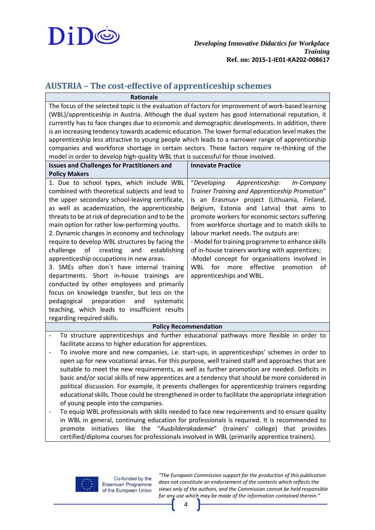

#### <span id="page-3-0"></span>**AUSTRIA – The cost-effective of apprenticeship schemes**

**Rationale** The focus of the selected topic is the evaluation of factors for improvement of work-based learning (WBL)/apprenticeship in Austria. Although the dual system has good international reputation, it currently has to face changes due to economic and demographic developments. In addition, there is an increasing tendency towards academic education. The lower formal education level makes the apprenticeship less attractive to young people which leads to a narrower range of apprenticeship companies and workforce shortage in certain sectors. These factors require re-thinking of the model in order to develop high-quality WBL that is successful for those involved.

| <b>Issues and Challenges for Practitioners and</b>                                                                                                                                                                                                                                                                                                                                                                                                                                                                                                                                                                                                                                                                                    | <b>Innovate Practice</b>                                                                                                                                                                                                                                                                                                                                                                                                                                                                                                                                            |  |
|---------------------------------------------------------------------------------------------------------------------------------------------------------------------------------------------------------------------------------------------------------------------------------------------------------------------------------------------------------------------------------------------------------------------------------------------------------------------------------------------------------------------------------------------------------------------------------------------------------------------------------------------------------------------------------------------------------------------------------------|---------------------------------------------------------------------------------------------------------------------------------------------------------------------------------------------------------------------------------------------------------------------------------------------------------------------------------------------------------------------------------------------------------------------------------------------------------------------------------------------------------------------------------------------------------------------|--|
| <b>Policy Makers</b>                                                                                                                                                                                                                                                                                                                                                                                                                                                                                                                                                                                                                                                                                                                  |                                                                                                                                                                                                                                                                                                                                                                                                                                                                                                                                                                     |  |
| 1. Due to school types, which include WBL<br>combined with theoretical subjects and lead to<br>the upper secondary school-leaving certificate,<br>as well as academization, the apprenticeship<br>threats to be at risk of depreciation and to be the<br>main option for rather low-performing youths.<br>2. Dynamic changes in economy and technology<br>require to develop WBL structures by facing the<br>challenge of creating and establishing<br>apprenticeship occupations in new areas.<br>3. SMEs often don't have internal training<br>departments. Short in-house trainings are<br>conducted by other employees and primarily<br>focus on knowledge transfer, but less on the<br>pedagogical preparation and<br>systematic | Apprenticeship: In-Company<br>"Developing<br>Trainer Training and Apprenticeship Promotion"<br>is an Erasmus+ project (Lithuania, Finland,<br>Belgium, Estonia and Latvia) that aims to<br>promote workers for economic sectors suffering<br>from workforce shortage and to match skills to<br>labour market needs. The outputs are:<br>- Model for training programme to enhance skills<br>of in-house trainers working with apprentices;<br>-Model concept for organisations involved in<br>for more effective promotion<br>WBL<br>of<br>apprenticeships and WBL. |  |
|                                                                                                                                                                                                                                                                                                                                                                                                                                                                                                                                                                                                                                                                                                                                       |                                                                                                                                                                                                                                                                                                                                                                                                                                                                                                                                                                     |  |
| teaching, which leads to insufficient results                                                                                                                                                                                                                                                                                                                                                                                                                                                                                                                                                                                                                                                                                         |                                                                                                                                                                                                                                                                                                                                                                                                                                                                                                                                                                     |  |
| regarding required skills.                                                                                                                                                                                                                                                                                                                                                                                                                                                                                                                                                                                                                                                                                                            |                                                                                                                                                                                                                                                                                                                                                                                                                                                                                                                                                                     |  |
| <b>Policy Recommendation</b>                                                                                                                                                                                                                                                                                                                                                                                                                                                                                                                                                                                                                                                                                                          |                                                                                                                                                                                                                                                                                                                                                                                                                                                                                                                                                                     |  |

- To structure apprenticeships and further educational pathways more flexible in order to facilitate access to higher education for apprentices.
- To involve more and new companies, i.e. start-ups, in apprenticeships' schemes in order to open up for new vocational areas. For this purpose, well trained staff and approaches that are suitable to meet the new requirements, as well as further promotion are needed. Deficits in basic and/or social skills of new apprentices are a tendency that should be more considered in political discussion. For example, it presents challenges for apprenticeship trainers regarding educational skills. Those could be strengthened in order to facilitate the appropriate integration of young people into the companies.
- To equip WBL professionals with skills needed to face new requirements and to ensure quality in WBL in general, continuing education for professionals is required. It is recommended to promote initiatives like the "*Ausbilderakademie*" (trainers' college) that provides certified/diploma courses for professionals involved in WBL (primarily apprentice trainers).

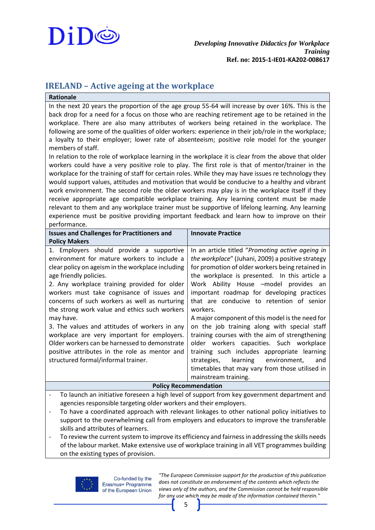

#### <span id="page-4-0"></span>**IRELAND – Active ageing at the workplace**

| <b>Rationale</b>                                                                                                                                                                                                                                                                                                                                                                                                                                                                                                                                                                                                                                                                                                                                                                                                                                                                                                                                                                                                                                                                                                                                                                                                                                                                                                                                                      |                                                                                                                                                                                                                                                                                                                                                                                                                                                                                                                                                                                                                                                                                                                                         |  |
|-----------------------------------------------------------------------------------------------------------------------------------------------------------------------------------------------------------------------------------------------------------------------------------------------------------------------------------------------------------------------------------------------------------------------------------------------------------------------------------------------------------------------------------------------------------------------------------------------------------------------------------------------------------------------------------------------------------------------------------------------------------------------------------------------------------------------------------------------------------------------------------------------------------------------------------------------------------------------------------------------------------------------------------------------------------------------------------------------------------------------------------------------------------------------------------------------------------------------------------------------------------------------------------------------------------------------------------------------------------------------|-----------------------------------------------------------------------------------------------------------------------------------------------------------------------------------------------------------------------------------------------------------------------------------------------------------------------------------------------------------------------------------------------------------------------------------------------------------------------------------------------------------------------------------------------------------------------------------------------------------------------------------------------------------------------------------------------------------------------------------------|--|
| In the next 20 years the proportion of the age group 55-64 will increase by over 16%. This is the<br>back drop for a need for a focus on those who are reaching retirement age to be retained in the<br>workplace. There are also many attributes of workers being retained in the workplace. The<br>following are some of the qualities of older workers: experience in their job/role in the workplace;<br>a loyalty to their employer; lower rate of absenteeism; positive role model for the younger<br>members of staff.<br>In relation to the role of workplace learning in the workplace it is clear from the above that older<br>workers could have a very positive role to play. The first role is that of mentor/trainer in the<br>workplace for the training of staff for certain roles. While they may have issues re technology they<br>would support values, attitudes and motivation that would be conducive to a healthy and vibrant<br>work environment. The second role the older workers may play is in the workplace itself if they<br>receive appropriate age compatible workplace training. Any learning content must be made<br>relevant to them and any workplace trainer must be supportive of lifelong learning. Any learning<br>experience must be positive providing important feedback and learn how to improve on their<br>performance. |                                                                                                                                                                                                                                                                                                                                                                                                                                                                                                                                                                                                                                                                                                                                         |  |
| <b>Issues and Challenges for Practitioners and</b><br><b>Policy Makers</b>                                                                                                                                                                                                                                                                                                                                                                                                                                                                                                                                                                                                                                                                                                                                                                                                                                                                                                                                                                                                                                                                                                                                                                                                                                                                                            | <b>Innovate Practice</b>                                                                                                                                                                                                                                                                                                                                                                                                                                                                                                                                                                                                                                                                                                                |  |
| 1. Employers should provide a supportive<br>environment for mature workers to include a<br>clear policy on ageism in the workplace including<br>age friendly policies.<br>2. Any workplace training provided for older<br>workers must take cognisance of issues and<br>concerns of such workers as well as nurturing<br>the strong work value and ethics such workers<br>may have.<br>3. The values and attitudes of workers in any<br>workplace are very important for employers.<br>Older workers can be harnessed to demonstrate<br>positive attributes in the role as mentor and<br>structured formal/informal trainer.                                                                                                                                                                                                                                                                                                                                                                                                                                                                                                                                                                                                                                                                                                                                          | In an article titled "Promoting active ageing in<br>the workplace" (Juhani, 2009) a positive strategy<br>for promotion of older workers being retained in<br>the workplace is presented. In this article a<br>Work Ability House -model provides an<br>important roadmap for developing practices<br>that are conducive to retention of senior<br>workers.<br>A major component of this model is the need for<br>on the job training along with special staff<br>training courses with the aim of strengthening<br>older workers capacities. Such workplace<br>training such includes appropriate learning<br>learning<br>environment,<br>strategies,<br>and<br>timetables that may vary from those utilised in<br>mainstream training. |  |
| <b>Policy Recommendation</b>                                                                                                                                                                                                                                                                                                                                                                                                                                                                                                                                                                                                                                                                                                                                                                                                                                                                                                                                                                                                                                                                                                                                                                                                                                                                                                                                          |                                                                                                                                                                                                                                                                                                                                                                                                                                                                                                                                                                                                                                                                                                                                         |  |
| To launch an initiative foreseen a high level of support from key government department and<br>agencies responsible targeting older workers and their employers.<br>To have a coordinated approach with relevant linkages to other national policy initiatives to<br>support to the overwhelming call from employers and educators to improve the transferable                                                                                                                                                                                                                                                                                                                                                                                                                                                                                                                                                                                                                                                                                                                                                                                                                                                                                                                                                                                                        |                                                                                                                                                                                                                                                                                                                                                                                                                                                                                                                                                                                                                                                                                                                                         |  |

skills and attributes of learners. - To review the current system to improve its efficiency and fairness in addressing the skills needs of the labour market. Make extensive use of workplace training in all VET programmes building on the existing types of provision.

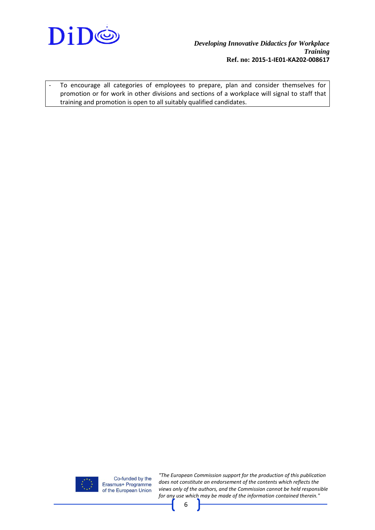

- To encourage all categories of employees to prepare, plan and consider themselves for promotion or for work in other divisions and sections of a workplace will signal to staff that training and promotion is open to all suitably qualified candidates.



Co-funded by the Erasmus+ Programme of the European Union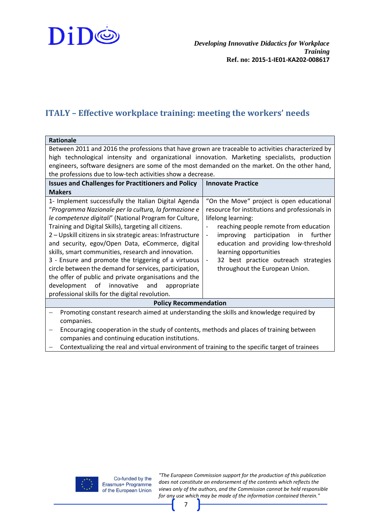

#### <span id="page-6-0"></span>**ITALY – Effective workplace training: meeting the workers' needs**

| <b>Rationale</b>                                                                                                                                                                                                                                                                                                                                                                                                                                                                                                                                                                                                                                                                                           |                                                                                                                                                                                                                                                                                                                                                                                                                |  |
|------------------------------------------------------------------------------------------------------------------------------------------------------------------------------------------------------------------------------------------------------------------------------------------------------------------------------------------------------------------------------------------------------------------------------------------------------------------------------------------------------------------------------------------------------------------------------------------------------------------------------------------------------------------------------------------------------------|----------------------------------------------------------------------------------------------------------------------------------------------------------------------------------------------------------------------------------------------------------------------------------------------------------------------------------------------------------------------------------------------------------------|--|
| Between 2011 and 2016 the professions that have grown are traceable to activities characterized by<br>high technological intensity and organizational innovation. Marketing specialists, production<br>engineers, software designers are some of the most demanded on the market. On the other hand,<br>the professions due to low-tech activities show a decrease.                                                                                                                                                                                                                                                                                                                                        |                                                                                                                                                                                                                                                                                                                                                                                                                |  |
| <b>Issues and Challenges for Practitioners and Policy</b>                                                                                                                                                                                                                                                                                                                                                                                                                                                                                                                                                                                                                                                  | <b>Innovate Practice</b>                                                                                                                                                                                                                                                                                                                                                                                       |  |
| <b>Makers</b><br>1- Implement successfully the Italian Digital Agenda<br>"Programma Nazionale per la cultura, la formazione e<br>le competenze digitali" (National Program for Culture,<br>Training and Digital Skills), targeting all citizens.<br>2 - Upskill citizens in six strategic areas: Infrastructure<br>and security, egov/Open Data, eCommerce, digital<br>skills, smart communities, research and innovation.<br>3 - Ensure and promote the triggering of a virtuous<br>circle between the demand for services, participation,<br>the offer of public and private organisations and the<br>development of<br>innovative<br>and appropriate<br>professional skills for the digital revolution. | "On the Move" project is open educational<br>resource for institutions and professionals in<br>lifelong learning:<br>reaching people remote from education<br>improving<br>participation<br>in<br>further<br>$\overline{\phantom{a}}$<br>education and providing low-threshold<br>learning opportunities<br>32 best practice outreach strategies<br>$\overline{\phantom{a}}$<br>throughout the European Union. |  |
| <b>Policy Recommendation</b>                                                                                                                                                                                                                                                                                                                                                                                                                                                                                                                                                                                                                                                                               |                                                                                                                                                                                                                                                                                                                                                                                                                |  |
| Promoting constant research aimed at understanding the skills and knowledge required by<br>companies.<br>Encouraging cooperation in the study of contents, methods and places of training between                                                                                                                                                                                                                                                                                                                                                                                                                                                                                                          |                                                                                                                                                                                                                                                                                                                                                                                                                |  |

companies and continuing education institutions.

Contextualizing the real and virtual environment of training to the specific target of trainees

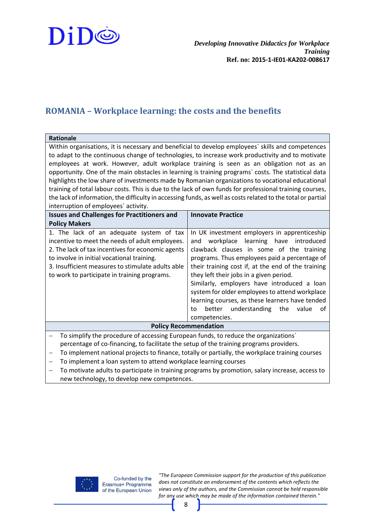

# <span id="page-7-0"></span>**ROMANIA – Workplace learning: the costs and the benefits**

| <b>Rationale</b>                                                                                                                                                                                                                                                                                                                                                                                                                                                                                                                                                                                                                                                                                                                                                                |                                                                                                                                                                                                                                                                                                                                                                                                                                                                                                                        |  |
|---------------------------------------------------------------------------------------------------------------------------------------------------------------------------------------------------------------------------------------------------------------------------------------------------------------------------------------------------------------------------------------------------------------------------------------------------------------------------------------------------------------------------------------------------------------------------------------------------------------------------------------------------------------------------------------------------------------------------------------------------------------------------------|------------------------------------------------------------------------------------------------------------------------------------------------------------------------------------------------------------------------------------------------------------------------------------------------------------------------------------------------------------------------------------------------------------------------------------------------------------------------------------------------------------------------|--|
| Within organisations, it is necessary and beneficial to develop employees` skills and competences<br>to adapt to the continuous change of technologies, to increase work productivity and to motivate<br>employees at work. However, adult workplace training is seen as an obligation not as an<br>opportunity. One of the main obstacles in learning is training programs' costs. The statistical data<br>highlights the low share of investments made by Romanian organizations to vocational educational<br>training of total labour costs. This is due to the lack of own funds for professional training courses,<br>the lack of information, the difficulty in accessing funds, as well as costs related to the total or partial<br>interruption of employees' activity. |                                                                                                                                                                                                                                                                                                                                                                                                                                                                                                                        |  |
| <b>Issues and Challenges for Practitioners and</b>                                                                                                                                                                                                                                                                                                                                                                                                                                                                                                                                                                                                                                                                                                                              | <b>Innovate Practice</b>                                                                                                                                                                                                                                                                                                                                                                                                                                                                                               |  |
| <b>Policy Makers</b>                                                                                                                                                                                                                                                                                                                                                                                                                                                                                                                                                                                                                                                                                                                                                            |                                                                                                                                                                                                                                                                                                                                                                                                                                                                                                                        |  |
| 1. The lack of an adequate system of tax<br>incentive to meet the needs of adult employees.<br>2. The lack of tax incentives for economic agents<br>to involve in initial vocational training.<br>3. Insufficient measures to stimulate adults able<br>to work to participate in training programs.                                                                                                                                                                                                                                                                                                                                                                                                                                                                             | In UK investment employers in apprenticeship<br>learning have introduced<br>workplace<br>and<br>clawback clauses in some of the training<br>programs. Thus employees paid a percentage of<br>their training cost if, at the end of the training<br>they left their jobs in a given period.<br>Similarly, employers have introduced a loan<br>system for older employees to attend workplace<br>learning courses, as these learners have tended<br>better<br>understanding<br>the<br>value<br>οf<br>to<br>competencies. |  |
| <b>Policy Recommendation</b>                                                                                                                                                                                                                                                                                                                                                                                                                                                                                                                                                                                                                                                                                                                                                    |                                                                                                                                                                                                                                                                                                                                                                                                                                                                                                                        |  |
| To simplify the procedure of accessing European funds, to reduce the organizations'<br>percentage of co-financing, to facilitate the setup of the training programs providers.<br>To implement national projects to finance, totally or partially, the workplace training courses<br>To implement a loan system to attend workplace learning courses<br>To motivate adults to participate in training programs by promotion, salary increase, access to                                                                                                                                                                                                                                                                                                                         |                                                                                                                                                                                                                                                                                                                                                                                                                                                                                                                        |  |
|                                                                                                                                                                                                                                                                                                                                                                                                                                                                                                                                                                                                                                                                                                                                                                                 |                                                                                                                                                                                                                                                                                                                                                                                                                                                                                                                        |  |

new technology, to develop new competences.

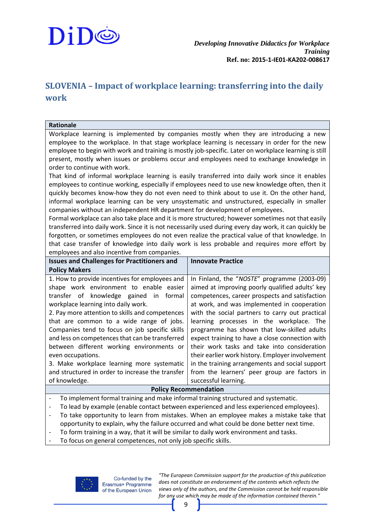

## <span id="page-8-0"></span>**SLOVENIA – Impact of workplace learning: transferring into the daily work**

#### **Rationale**

Workplace learning is implemented by companies mostly when they are introducing a new employee to the workplace. In that stage workplace learning is necessary in order for the new employee to begin with work and training is mostly job-specific. Later on workplace learning is still present, mostly when issues or problems occur and employees need to exchange knowledge in order to continue with work.

That kind of informal workplace learning is easily transferred into daily work since it enables employees to continue working, especially if employees need to use new knowledge often, then it quickly becomes know-how they do not even need to think about to use it. On the other hand, informal workplace learning can be very unsystematic and unstructured, especially in smaller companies without an independent HR department for development of employees.

Formal workplace can also take place and it is more structured; however sometimes not that easily transferred into daily work. Since it is not necessarily used during every day work, it can quickly be forgotten, or sometimes employees do not even realize the practical value of that knowledge. In that case transfer of knowledge into daily work is less probable and requires more effort by employees and also incentive from companies.

| <b>Issues and Challenges for Practitioners and</b>                                          | <b>Innovate Practice</b>                         |  |
|---------------------------------------------------------------------------------------------|--------------------------------------------------|--|
| <b>Policy Makers</b>                                                                        |                                                  |  |
| 1. How to provide incentives for employees and                                              | In Finland, the "NOSTE" programme (2003-09)      |  |
| shape work environment to enable easier                                                     | aimed at improving poorly qualified adults' key  |  |
| transfer of knowledge gained in formal                                                      | competences, career prospects and satisfaction   |  |
| workplace learning into daily work.                                                         | at work, and was implemented in cooperation      |  |
| 2. Pay more attention to skills and competences                                             | with the social partners to carry out practical  |  |
| that are common to a wide range of jobs.                                                    | learning processes in the workplace. The         |  |
| Companies tend to focus on job specific skills                                              | programme has shown that low-skilled adults      |  |
| and less on competences that can be transferred                                             | expect training to have a close connection with  |  |
| between different working environments or                                                   | their work tasks and take into consideration     |  |
| even occupations.                                                                           | their earlier work history. Employer involvement |  |
| 3. Make workplace learning more systematic                                                  | in the training arrangements and social support  |  |
| and structured in order to increase the transfer                                            | from the learners' peer group are factors in     |  |
| of knowledge.                                                                               | successful learning.                             |  |
| <b>Policy Recommendation</b>                                                                |                                                  |  |
| To implement formal training and make informal training structured and systematic.          |                                                  |  |
| To load by cycnoclo Load la contact boty annon cycnocloped and load cycnocloped anglesco of |                                                  |  |

- To lead by example (enable contact between experienced and less experienced employees).
- To take opportunity to learn from mistakes. When an employee makes a mistake take that opportunity to explain, why the failure occurred and what could be done better next time.
- To form training in a way, that it will be similar to daily work environment and tasks.
- To focus on general competences, not only job specific skills.

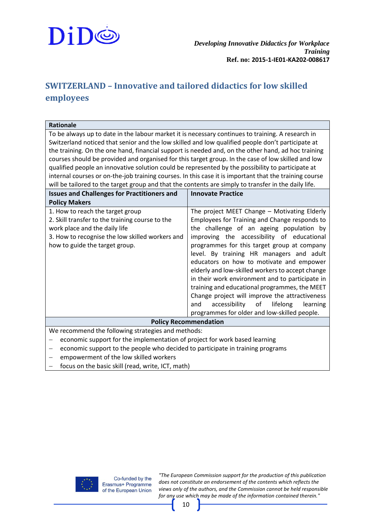

# <span id="page-9-0"></span>**SWITZERLAND – Innovative and tailored didactics for low skilled employees**

| <b>Rationale</b>                                                                                                                 |                                                    |  |
|----------------------------------------------------------------------------------------------------------------------------------|----------------------------------------------------|--|
| To be always up to date in the labour market it is necessary continues to training. A research in                                |                                                    |  |
| Switzerland noticed that senior and the low skilled and low qualified people don't participate at                                |                                                    |  |
| the training. On the one hand, financial support is needed and, on the other hand, ad hoc training                               |                                                    |  |
| courses should be provided and organised for this target group. In the case of low skilled and low                               |                                                    |  |
| qualified people an innovative solution could be represented by the possibility to participate at                                |                                                    |  |
| internal courses or on-the-job training courses. In this case it is important that the training course                           |                                                    |  |
| will be tailored to the target group and that the contents are simply to transfer in the daily life.                             |                                                    |  |
| <b>Issues and Challenges for Practitioners and</b>                                                                               | <b>Innovate Practice</b>                           |  |
| <b>Policy Makers</b>                                                                                                             |                                                    |  |
| 1. How to reach the target group                                                                                                 | The project MEET Change - Motivating Elderly       |  |
| 2. Skill transfer to the training course to the                                                                                  | Employees for Training and Change responds to      |  |
| work place and the daily life                                                                                                    | the challenge of an ageing population by           |  |
| 3. How to recognise the low skilled workers and                                                                                  | improving the accessibility of educational         |  |
| how to guide the target group.                                                                                                   | programmes for this target group at company        |  |
|                                                                                                                                  | level. By training HR managers and adult           |  |
|                                                                                                                                  | educators on how to motivate and empower           |  |
|                                                                                                                                  | elderly and low-skilled workers to accept change   |  |
|                                                                                                                                  | in their work environment and to participate in    |  |
|                                                                                                                                  | training and educational programmes, the MEET      |  |
|                                                                                                                                  | Change project will improve the attractiveness     |  |
|                                                                                                                                  | accessibility<br>of<br>lifelong<br>and<br>learning |  |
|                                                                                                                                  | programmes for older and low-skilled people.       |  |
| <b>Policy Recommendation</b>                                                                                                     |                                                    |  |
|                                                                                                                                  |                                                    |  |
| We recommend the following strategies and methods:<br>economic support for the implementation of project for work based learning |                                                    |  |
|                                                                                                                                  |                                                    |  |
| economic support to the people who decided to participate in training programs                                                   |                                                    |  |

- empowerment of the low skilled workers
- focus on the basic skill (read, write, ICT, math)

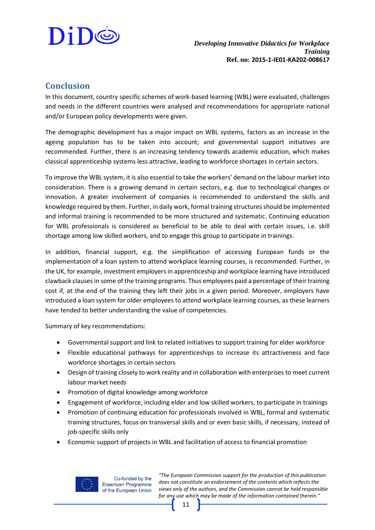

#### <span id="page-10-0"></span>**Conclusion**

In this document, country specific schemes of work-based learning (WBL) were evaluated, challenges and needs in the different countries were analysed and recommendations for appropriate national and/or European policy developments were given.

The demographic development has a major impact on WBL systems, factors as an increase in the ageing population has to be taken into account; and governmental support initiatives are recommended. Further, there is an increasing tendency towards academic education, which makes classical apprenticeship systems less attractive, leading to workforce shortages in certain sectors.

To improve the WBL system, it is also essential to take the workers' demand on the labour market into consideration. There is a growing demand in certain sectors, e.g. due to technological changes or innovation. A greater involvement of companies is recommended to understand the skills and knowledge required by them. Further, in daily work, formal training structures should be implemented and informal training is recommended to be more structured and systematic. Continuing education for WBL professionals is considered as beneficial to be able to deal with certain issues, i.e. skill shortage among low skilled workers, and to engage this group to participate in trainings.

In addition, financial support, e.g. the simplification of accessing European funds or the implementation of a loan system to attend workplace learning courses, is recommended. Further, in the UK, for example, investment employers in apprenticeship and workplace learning have introduced clawback clauses in some of the training programs. Thus employees paid a percentage of their training cost if, at the end of the training they left their jobs in a given period. Moreover, employers have introduced a loan system for older employees to attend workplace learning courses, as these learners have tended to better understanding the value of competencies.

Summary of key recommendations:

- Governmental support and link to related initiatives to support training for elder workforce
- Flexible educational pathways for apprenticeships to increase its attractiveness and face workforce shortages in certain sectors
- Design of training closely to work reality and in collaboration with enterprises to meet current labour market needs
- Promotion of digital knowledge among workforce
- Engagement of workforce, including elder and low skilled workers, to participate in trainings
- Promotion of continuing education for professionals involved in WBL, formal and systematic training structures, focus on transversal skills and or even basic skills, if necessary, instead of job-specific skills only
- Economic support of projects in WBL and facilitation of access to financial promotion



Co-funded by the Erasmus+ Programme of the European Union

*"The European Commission support for the production of this publication does not constitute an endorsement of the contents which reflects the views only of the authors, and the Commission cannot be held responsible for any use which may be made of the information contained therein."*

11